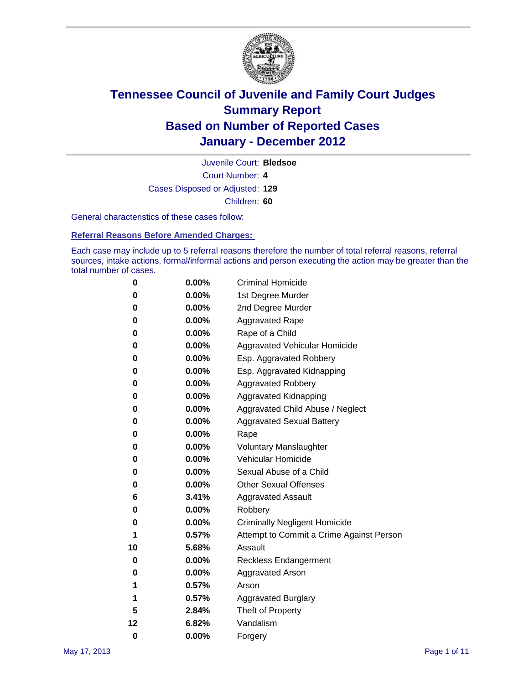

Court Number: **4** Juvenile Court: **Bledsoe** Cases Disposed or Adjusted: **129** Children: **60**

General characteristics of these cases follow:

**Referral Reasons Before Amended Charges:** 

Each case may include up to 5 referral reasons therefore the number of total referral reasons, referral sources, intake actions, formal/informal actions and person executing the action may be greater than the total number of cases.

| 0  | 0.00%    | <b>Criminal Homicide</b>                 |  |  |  |
|----|----------|------------------------------------------|--|--|--|
| 0  | 0.00%    | 1st Degree Murder                        |  |  |  |
| 0  | 0.00%    | 2nd Degree Murder                        |  |  |  |
| 0  | 0.00%    | <b>Aggravated Rape</b>                   |  |  |  |
| 0  | 0.00%    | Rape of a Child                          |  |  |  |
| 0  | 0.00%    | Aggravated Vehicular Homicide            |  |  |  |
| 0  | 0.00%    | Esp. Aggravated Robbery                  |  |  |  |
| 0  | 0.00%    | Esp. Aggravated Kidnapping               |  |  |  |
| 0  | 0.00%    | <b>Aggravated Robbery</b>                |  |  |  |
| 0  | 0.00%    | Aggravated Kidnapping                    |  |  |  |
| 0  | 0.00%    | Aggravated Child Abuse / Neglect         |  |  |  |
| 0  | $0.00\%$ | <b>Aggravated Sexual Battery</b>         |  |  |  |
| 0  | 0.00%    | Rape                                     |  |  |  |
| 0  | $0.00\%$ | <b>Voluntary Manslaughter</b>            |  |  |  |
| 0  | 0.00%    | Vehicular Homicide                       |  |  |  |
| 0  | 0.00%    | Sexual Abuse of a Child                  |  |  |  |
| 0  | 0.00%    | <b>Other Sexual Offenses</b>             |  |  |  |
| 6  | 3.41%    | <b>Aggravated Assault</b>                |  |  |  |
| 0  | $0.00\%$ | Robbery                                  |  |  |  |
| 0  | 0.00%    | <b>Criminally Negligent Homicide</b>     |  |  |  |
| 1  | 0.57%    | Attempt to Commit a Crime Against Person |  |  |  |
| 10 | 5.68%    | Assault                                  |  |  |  |
| 0  | 0.00%    | <b>Reckless Endangerment</b>             |  |  |  |
| 0  | 0.00%    | <b>Aggravated Arson</b>                  |  |  |  |
| 1  | 0.57%    | Arson                                    |  |  |  |
| 1  | 0.57%    | <b>Aggravated Burglary</b>               |  |  |  |
| 5  | 2.84%    | Theft of Property                        |  |  |  |
| 12 | 6.82%    | Vandalism                                |  |  |  |
| 0  | 0.00%    | Forgery                                  |  |  |  |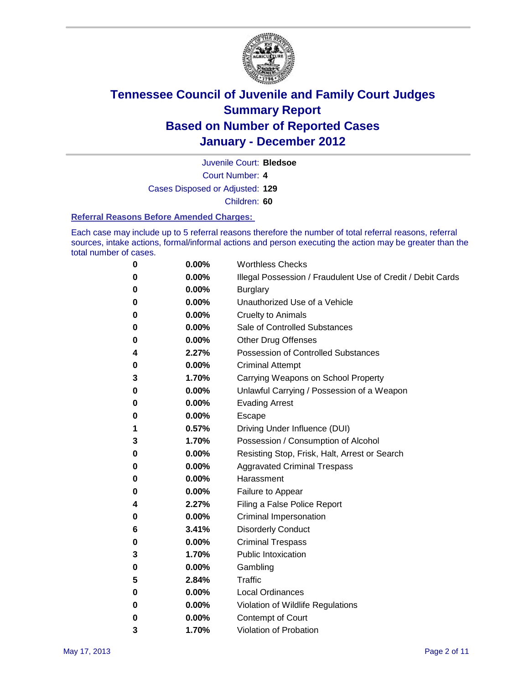

Juvenile Court: **Bledsoe**

Court Number: **4**

Cases Disposed or Adjusted: **129**

Children: **60**

#### **Referral Reasons Before Amended Charges:**

Each case may include up to 5 referral reasons therefore the number of total referral reasons, referral sources, intake actions, formal/informal actions and person executing the action may be greater than the total number of cases.

| 0 | 0.00%    | <b>Worthless Checks</b>                                     |  |  |  |
|---|----------|-------------------------------------------------------------|--|--|--|
| 0 | 0.00%    | Illegal Possession / Fraudulent Use of Credit / Debit Cards |  |  |  |
| 0 | 0.00%    | <b>Burglary</b>                                             |  |  |  |
| 0 | 0.00%    | Unauthorized Use of a Vehicle                               |  |  |  |
| 0 | $0.00\%$ | <b>Cruelty to Animals</b>                                   |  |  |  |
| 0 | 0.00%    | Sale of Controlled Substances                               |  |  |  |
| 0 | 0.00%    | <b>Other Drug Offenses</b>                                  |  |  |  |
| 4 | 2.27%    | <b>Possession of Controlled Substances</b>                  |  |  |  |
| 0 | 0.00%    | <b>Criminal Attempt</b>                                     |  |  |  |
| 3 | 1.70%    | Carrying Weapons on School Property                         |  |  |  |
| 0 | 0.00%    | Unlawful Carrying / Possession of a Weapon                  |  |  |  |
| 0 | $0.00\%$ | <b>Evading Arrest</b>                                       |  |  |  |
| 0 | $0.00\%$ | Escape                                                      |  |  |  |
| 1 | 0.57%    | Driving Under Influence (DUI)                               |  |  |  |
| 3 | 1.70%    | Possession / Consumption of Alcohol                         |  |  |  |
| 0 | $0.00\%$ | Resisting Stop, Frisk, Halt, Arrest or Search               |  |  |  |
| 0 | $0.00\%$ | <b>Aggravated Criminal Trespass</b>                         |  |  |  |
| 0 | $0.00\%$ | Harassment                                                  |  |  |  |
| 0 | 0.00%    | Failure to Appear                                           |  |  |  |
| 4 | 2.27%    | Filing a False Police Report                                |  |  |  |
| 0 | 0.00%    | Criminal Impersonation                                      |  |  |  |
| 6 | 3.41%    | <b>Disorderly Conduct</b>                                   |  |  |  |
| 0 | 0.00%    | <b>Criminal Trespass</b>                                    |  |  |  |
| 3 | 1.70%    | <b>Public Intoxication</b>                                  |  |  |  |
| 0 | $0.00\%$ | Gambling                                                    |  |  |  |
| 5 | 2.84%    | Traffic                                                     |  |  |  |
| 0 | $0.00\%$ | <b>Local Ordinances</b>                                     |  |  |  |
| 0 | 0.00%    | Violation of Wildlife Regulations                           |  |  |  |
| 0 | $0.00\%$ | Contempt of Court                                           |  |  |  |
| 3 | 1.70%    | Violation of Probation                                      |  |  |  |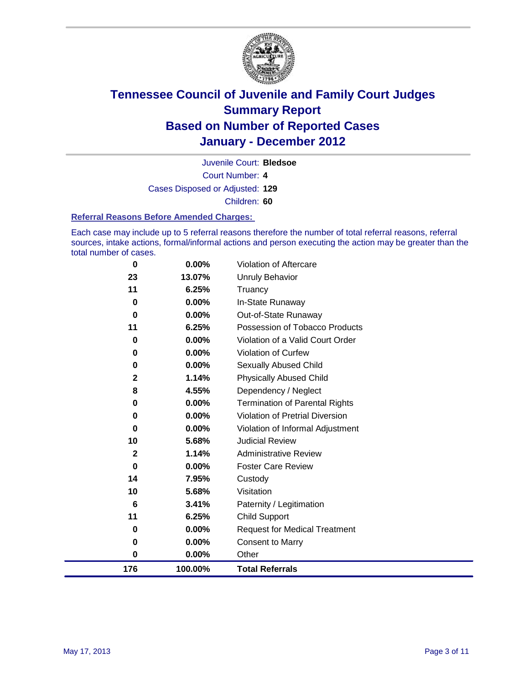

Juvenile Court: **Bledsoe**

Court Number: **4**

Cases Disposed or Adjusted: **129**

Children: **60**

#### **Referral Reasons Before Amended Charges:**

Each case may include up to 5 referral reasons therefore the number of total referral reasons, referral sources, intake actions, formal/informal actions and person executing the action may be greater than the total number of cases.

| 0            | 0.00%    | Violation of Aftercare                |
|--------------|----------|---------------------------------------|
| 23           | 13.07%   | <b>Unruly Behavior</b>                |
| 11           | 6.25%    | Truancy                               |
| 0            | $0.00\%$ | In-State Runaway                      |
| 0            | $0.00\%$ | Out-of-State Runaway                  |
| 11           | 6.25%    | Possession of Tobacco Products        |
| 0            | 0.00%    | Violation of a Valid Court Order      |
| 0            | $0.00\%$ | <b>Violation of Curfew</b>            |
| 0            | 0.00%    | Sexually Abused Child                 |
| $\mathbf{2}$ | 1.14%    | <b>Physically Abused Child</b>        |
| 8            | 4.55%    | Dependency / Neglect                  |
| 0            | $0.00\%$ | <b>Termination of Parental Rights</b> |
| 0            | 0.00%    | Violation of Pretrial Diversion       |
| 0            | $0.00\%$ | Violation of Informal Adjustment      |
| 10           | 5.68%    | <b>Judicial Review</b>                |
| $\mathbf{2}$ | 1.14%    | <b>Administrative Review</b>          |
| $\bf{0}$     | 0.00%    | <b>Foster Care Review</b>             |
| 14           | 7.95%    | Custody                               |
| 10           | 5.68%    | Visitation                            |
| 6            | 3.41%    | Paternity / Legitimation              |
| 11           | 6.25%    | <b>Child Support</b>                  |
| 0            | $0.00\%$ | <b>Request for Medical Treatment</b>  |
| 0            | 0.00%    | <b>Consent to Marry</b>               |
| 0            | 0.00%    | Other                                 |
| 176          | 100.00%  | <b>Total Referrals</b>                |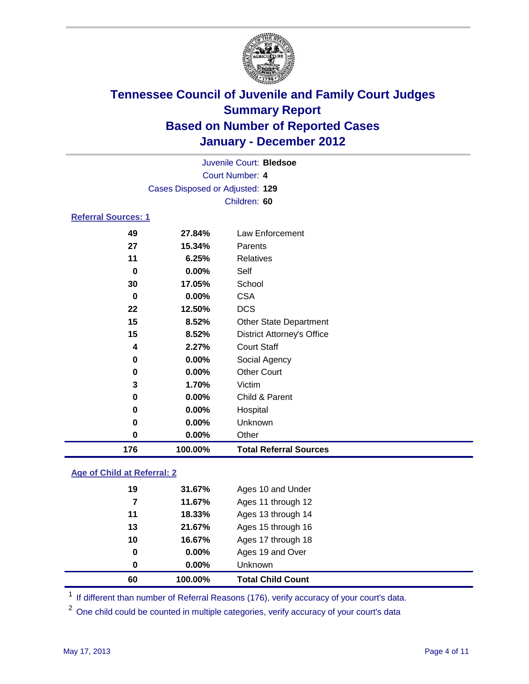

| Juvenile Court: Bledsoe    |                                 |                                   |  |  |  |
|----------------------------|---------------------------------|-----------------------------------|--|--|--|
|                            | Court Number: 4                 |                                   |  |  |  |
|                            | Cases Disposed or Adjusted: 129 |                                   |  |  |  |
|                            | Children: 60                    |                                   |  |  |  |
| <b>Referral Sources: 1</b> |                                 |                                   |  |  |  |
| 49                         | 27.84%                          | Law Enforcement                   |  |  |  |
| 27                         | 15.34%                          | Parents                           |  |  |  |
| 11                         | 6.25%                           | <b>Relatives</b>                  |  |  |  |
| $\bf{0}$                   | 0.00%                           | Self                              |  |  |  |
| 30                         | 17.05%                          | School                            |  |  |  |
| $\bf{0}$                   | $0.00\%$                        | <b>CSA</b>                        |  |  |  |
| 22                         | 12.50%                          | <b>DCS</b>                        |  |  |  |
| 15                         | 8.52%                           | Other State Department            |  |  |  |
| 15                         | 8.52%                           | <b>District Attorney's Office</b> |  |  |  |
| 4                          | 2.27%                           | <b>Court Staff</b>                |  |  |  |
| 0                          | $0.00\%$                        | Social Agency                     |  |  |  |
| 0                          | $0.00\%$                        | <b>Other Court</b>                |  |  |  |
| 3                          | 1.70%                           | Victim                            |  |  |  |
| 0                          | $0.00\%$                        | Child & Parent                    |  |  |  |
| 0                          | $0.00\%$                        | Hospital                          |  |  |  |
| 0                          | $0.00\%$                        | Unknown                           |  |  |  |
| 0                          | 0.00%                           | Other                             |  |  |  |
| 176                        | 100.00%                         | <b>Total Referral Sources</b>     |  |  |  |

### **Age of Child at Referral: 2**

| 60       | 100.00% | <b>Total Child Count</b> |
|----------|---------|--------------------------|
| $\bf{0}$ | 0.00%   | Unknown                  |
| 0        | 0.00%   | Ages 19 and Over         |
| 10       | 16.67%  | Ages 17 through 18       |
| 13       | 21.67%  | Ages 15 through 16       |
| 11       | 18.33%  | Ages 13 through 14       |
| 7        | 11.67%  | Ages 11 through 12       |
| 19       | 31.67%  | Ages 10 and Under        |
|          |         |                          |

<sup>1</sup> If different than number of Referral Reasons (176), verify accuracy of your court's data.

<sup>2</sup> One child could be counted in multiple categories, verify accuracy of your court's data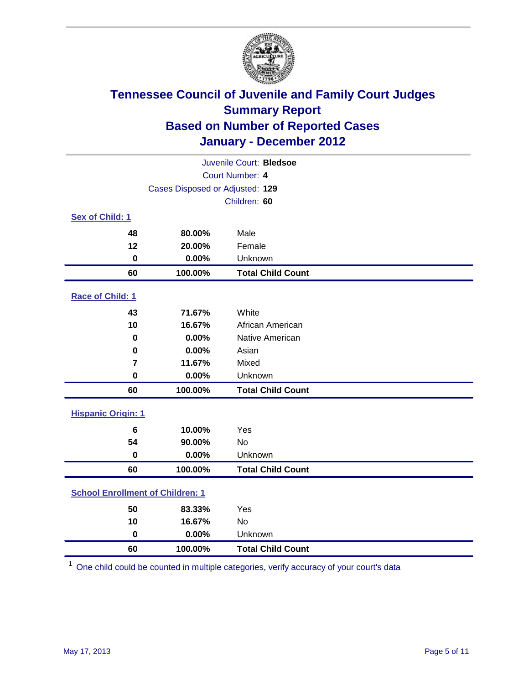

| Juvenile Court: Bledsoe                 |                                 |                          |  |
|-----------------------------------------|---------------------------------|--------------------------|--|
| Court Number: 4                         |                                 |                          |  |
|                                         | Cases Disposed or Adjusted: 129 |                          |  |
|                                         |                                 | Children: 60             |  |
| Sex of Child: 1                         |                                 |                          |  |
| 48                                      | 80.00%                          | Male                     |  |
| 12                                      | 20.00%                          | Female                   |  |
| $\pmb{0}$                               | 0.00%                           | Unknown                  |  |
| 60                                      | 100.00%                         | <b>Total Child Count</b> |  |
| Race of Child: 1                        |                                 |                          |  |
| 43                                      | 71.67%                          | White                    |  |
| 10                                      | 16.67%                          | African American         |  |
| 0                                       | 0.00%                           | Native American          |  |
| $\bf{0}$                                | 0.00%                           | Asian                    |  |
| $\overline{7}$                          | 11.67%                          | Mixed                    |  |
| $\pmb{0}$                               | 0.00%                           | Unknown                  |  |
| 60                                      | 100.00%                         | <b>Total Child Count</b> |  |
| <b>Hispanic Origin: 1</b>               |                                 |                          |  |
| $6\phantom{1}6$                         | 10.00%                          | Yes                      |  |
| 54                                      | 90.00%                          | <b>No</b>                |  |
| $\mathbf 0$                             | 0.00%                           | Unknown                  |  |
| 60                                      | 100.00%                         | <b>Total Child Count</b> |  |
| <b>School Enrollment of Children: 1</b> |                                 |                          |  |
| 50                                      | 83.33%                          | Yes                      |  |
| 10                                      | 16.67%                          | No                       |  |
| $\mathbf 0$                             | 0.00%                           | Unknown                  |  |
| 60                                      | 100.00%                         | <b>Total Child Count</b> |  |

One child could be counted in multiple categories, verify accuracy of your court's data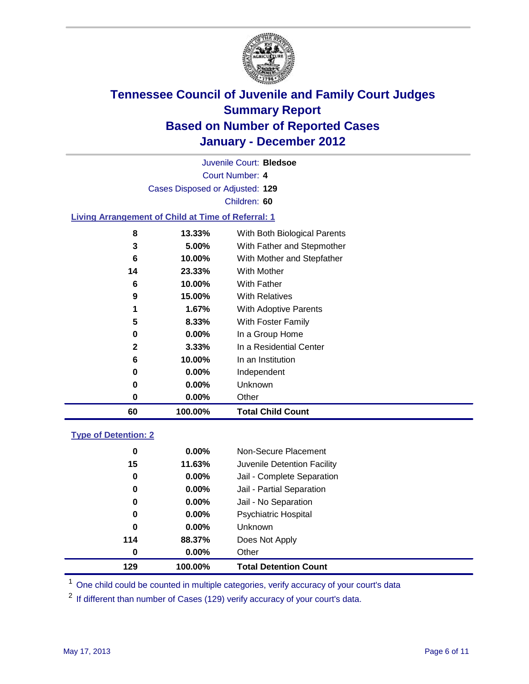

Court Number: **4** Juvenile Court: **Bledsoe** Cases Disposed or Adjusted: **129** Children: **60**

### **Living Arrangement of Child at Time of Referral: 1**

| 60           | 100.00%  | <b>Total Child Count</b>     |
|--------------|----------|------------------------------|
| 0            | 0.00%    | Other                        |
| 0            | 0.00%    | Unknown                      |
| 0            | $0.00\%$ | Independent                  |
| 6            | 10.00%   | In an Institution            |
| $\mathbf{2}$ | 3.33%    | In a Residential Center      |
| 0            | $0.00\%$ | In a Group Home              |
| 5            | 8.33%    | With Foster Family           |
| 1            | 1.67%    | <b>With Adoptive Parents</b> |
| 9            | 15.00%   | <b>With Relatives</b>        |
| 6            | 10.00%   | With Father                  |
| 14           | 23.33%   | With Mother                  |
| 6            | 10.00%   | With Mother and Stepfather   |
| 3            | 5.00%    | With Father and Stepmother   |
| 8            | 13.33%   | With Both Biological Parents |
|              |          |                              |

### **Type of Detention: 2**

| 129 | 100.00%  | <b>Total Detention Count</b> |
|-----|----------|------------------------------|
| 0   | $0.00\%$ | Other                        |
| 114 | 88.37%   | Does Not Apply               |
| 0   | $0.00\%$ | Unknown                      |
| 0   | $0.00\%$ | <b>Psychiatric Hospital</b>  |
| 0   | 0.00%    | Jail - No Separation         |
| 0   | $0.00\%$ | Jail - Partial Separation    |
| 0   | 0.00%    | Jail - Complete Separation   |
| 15  | 11.63%   | Juvenile Detention Facility  |
| 0   | $0.00\%$ | Non-Secure Placement         |
|     |          |                              |

<sup>1</sup> One child could be counted in multiple categories, verify accuracy of your court's data

<sup>2</sup> If different than number of Cases (129) verify accuracy of your court's data.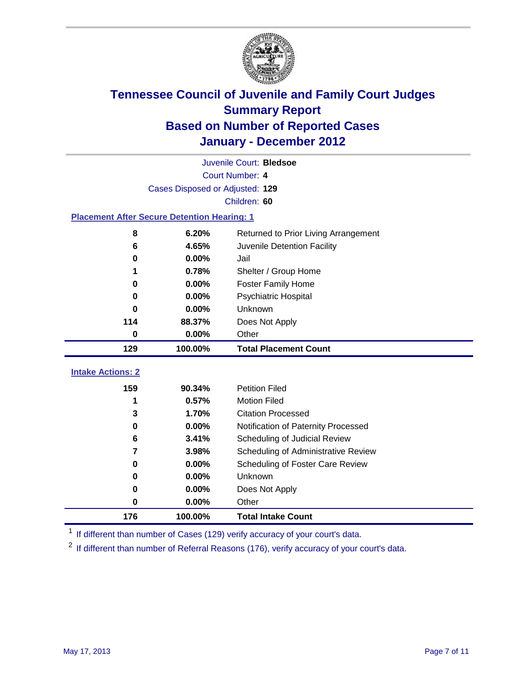

| Juvenile Court: Bledsoe                            |                                 |                                      |  |  |  |
|----------------------------------------------------|---------------------------------|--------------------------------------|--|--|--|
|                                                    | Court Number: 4                 |                                      |  |  |  |
|                                                    | Cases Disposed or Adjusted: 129 |                                      |  |  |  |
|                                                    | Children: 60                    |                                      |  |  |  |
| <b>Placement After Secure Detention Hearing: 1</b> |                                 |                                      |  |  |  |
| 8                                                  | 6.20%                           | Returned to Prior Living Arrangement |  |  |  |
| 6                                                  | 4.65%                           | Juvenile Detention Facility          |  |  |  |
| $\bf{0}$                                           | 0.00%                           | Jail                                 |  |  |  |
| 1                                                  | 0.78%                           | Shelter / Group Home                 |  |  |  |
| $\bf{0}$                                           | 0.00%                           | <b>Foster Family Home</b>            |  |  |  |
| 0                                                  | 0.00%                           | Psychiatric Hospital                 |  |  |  |
| 0                                                  | 0.00%                           | Unknown                              |  |  |  |
| 114                                                | 88.37%                          | Does Not Apply                       |  |  |  |
| $\mathbf 0$                                        | 0.00%                           | Other                                |  |  |  |
| 129                                                | 100.00%                         | <b>Total Placement Count</b>         |  |  |  |
|                                                    |                                 |                                      |  |  |  |
| <b>Intake Actions: 2</b>                           |                                 |                                      |  |  |  |
| 159                                                | 90.34%                          | <b>Petition Filed</b>                |  |  |  |
| 1                                                  | 0.57%                           | <b>Motion Filed</b>                  |  |  |  |
| 3                                                  | 1.70%                           | <b>Citation Processed</b>            |  |  |  |
| $\bf{0}$                                           | 0.00%                           | Notification of Paternity Processed  |  |  |  |
| 6                                                  | 3.41%                           | Scheduling of Judicial Review        |  |  |  |
| $\overline{7}$                                     | 3.98%                           | Scheduling of Administrative Review  |  |  |  |
| 0                                                  | 0.00%                           | Scheduling of Foster Care Review     |  |  |  |
| $\bf{0}$                                           | 0.00%                           | Unknown                              |  |  |  |
| 0                                                  | 0.00%                           | Does Not Apply                       |  |  |  |
| 0                                                  | 0.00%                           | Other                                |  |  |  |

<sup>1</sup> If different than number of Cases (129) verify accuracy of your court's data.

<sup>2</sup> If different than number of Referral Reasons (176), verify accuracy of your court's data.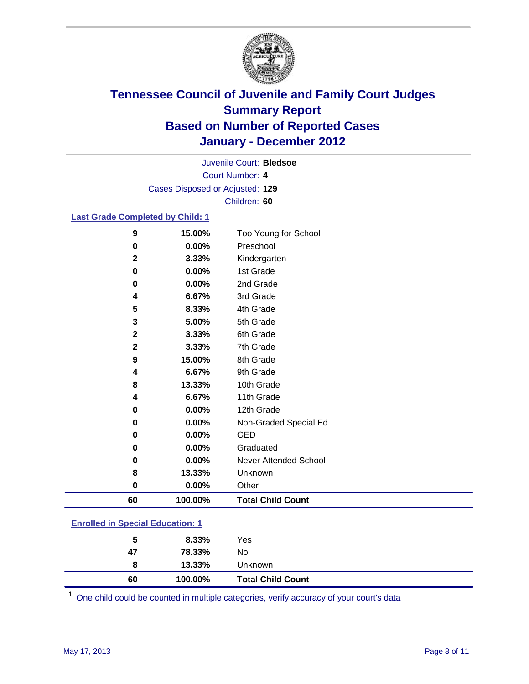

Court Number: **4** Juvenile Court: **Bledsoe** Cases Disposed or Adjusted: **129** Children: **60**

### **Last Grade Completed by Child: 1**

| $\boldsymbol{9}$                        | 15.00%  | Too Young for School         |
|-----------------------------------------|---------|------------------------------|
| $\bf{0}$                                | 0.00%   | Preschool                    |
| $\mathbf 2$                             | 3.33%   | Kindergarten                 |
| $\mathbf 0$                             | 0.00%   | 1st Grade                    |
| $\mathbf 0$                             | 0.00%   | 2nd Grade                    |
| 4                                       | 6.67%   | 3rd Grade                    |
| 5                                       | 8.33%   | 4th Grade                    |
| 3                                       | 5.00%   | 5th Grade                    |
| $\mathbf{2}$                            | 3.33%   | 6th Grade                    |
| $\mathbf{2}$                            | 3.33%   | 7th Grade                    |
| 9                                       | 15.00%  | 8th Grade                    |
| 4                                       | 6.67%   | 9th Grade                    |
| 8                                       | 13.33%  | 10th Grade                   |
| 4                                       | 6.67%   | 11th Grade                   |
| $\bf{0}$                                | 0.00%   | 12th Grade                   |
| 0                                       | 0.00%   | Non-Graded Special Ed        |
| 0                                       | 0.00%   | <b>GED</b>                   |
| $\mathbf 0$                             | 0.00%   | Graduated                    |
| 0                                       | 0.00%   | <b>Never Attended School</b> |
| 8                                       | 13.33%  | Unknown                      |
| $\mathbf 0$                             | 0.00%   | Other                        |
| 60                                      | 100.00% | <b>Total Child Count</b>     |
| <b>Enrolled in Special Education: 1</b> |         |                              |

| 60                                        | 100.00%   | <b>Total Child Count</b> |  |  |
|-------------------------------------------|-----------|--------------------------|--|--|
| 8                                         | $13.33\%$ | <b>Unknown</b>           |  |  |
| 47                                        | 78.33%    | No                       |  |  |
| 5                                         | 8.33%     | Yes                      |  |  |
| <u>Einvilled in Opcolar Eugeneinen. I</u> |           |                          |  |  |

One child could be counted in multiple categories, verify accuracy of your court's data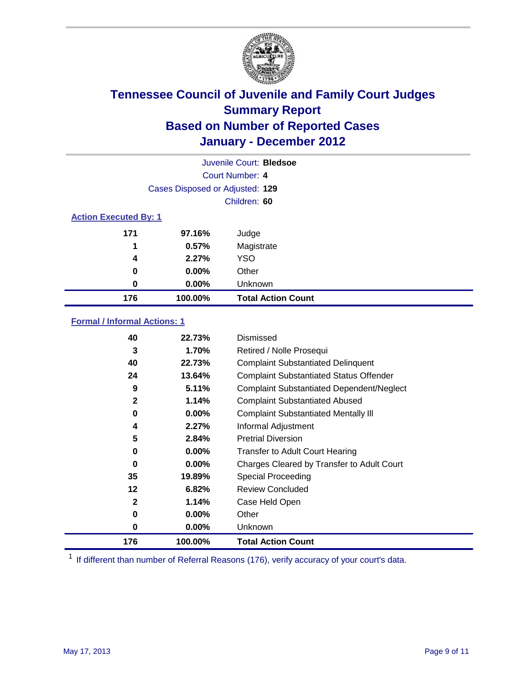

|                                 | Juvenile Court: Bledsoe      |                           |  |  |  |
|---------------------------------|------------------------------|---------------------------|--|--|--|
|                                 |                              | Court Number: 4           |  |  |  |
| Cases Disposed or Adjusted: 129 |                              |                           |  |  |  |
| Children: 60                    |                              |                           |  |  |  |
|                                 | <b>Action Executed By: 1</b> |                           |  |  |  |
| 171                             | 97.16%                       | Judge                     |  |  |  |
| 1                               | 0.57%                        | Magistrate                |  |  |  |
| 4                               | 2.27%                        | <b>YSO</b>                |  |  |  |
| 0                               | $0.00\%$                     | Other                     |  |  |  |
| 0                               | 0.00%                        | Unknown                   |  |  |  |
| 176                             | 100.00%                      | <b>Total Action Count</b> |  |  |  |

### **Formal / Informal Actions: 1**

| 40           | 22.73%   | Dismissed                                        |
|--------------|----------|--------------------------------------------------|
| 3            | 1.70%    | Retired / Nolle Prosequi                         |
| 40           | 22.73%   | <b>Complaint Substantiated Delinquent</b>        |
| 24           | 13.64%   | <b>Complaint Substantiated Status Offender</b>   |
| 9            | 5.11%    | <b>Complaint Substantiated Dependent/Neglect</b> |
| 2            | 1.14%    | <b>Complaint Substantiated Abused</b>            |
| 0            | $0.00\%$ | <b>Complaint Substantiated Mentally III</b>      |
| 4            | 2.27%    | Informal Adjustment                              |
| 5            | 2.84%    | <b>Pretrial Diversion</b>                        |
| 0            | $0.00\%$ | <b>Transfer to Adult Court Hearing</b>           |
| 0            | $0.00\%$ | Charges Cleared by Transfer to Adult Court       |
| 35           | 19.89%   | Special Proceeding                               |
| 12           | 6.82%    | <b>Review Concluded</b>                          |
| $\mathbf{2}$ | 1.14%    | Case Held Open                                   |
| 0            | $0.00\%$ | Other                                            |
| 0            | $0.00\%$ | Unknown                                          |
| 176          | 100.00%  | <b>Total Action Count</b>                        |

<sup>1</sup> If different than number of Referral Reasons (176), verify accuracy of your court's data.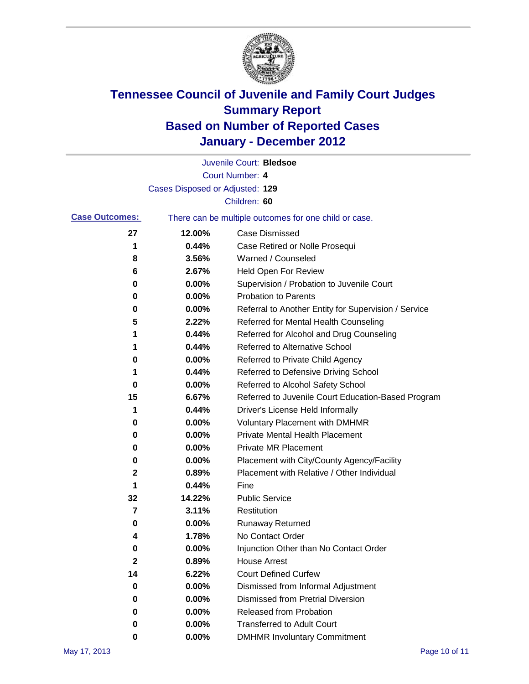

|                       |                                 | Juvenile Court: Bledsoe                               |
|-----------------------|---------------------------------|-------------------------------------------------------|
|                       |                                 | Court Number: 4                                       |
|                       | Cases Disposed or Adjusted: 129 |                                                       |
|                       |                                 | Children: 60                                          |
| <b>Case Outcomes:</b> |                                 | There can be multiple outcomes for one child or case. |
| 27                    | 12.00%                          | <b>Case Dismissed</b>                                 |
| 1                     | 0.44%                           | Case Retired or Nolle Prosequi                        |
| 8                     | 3.56%                           | Warned / Counseled                                    |
| 6                     | 2.67%                           | <b>Held Open For Review</b>                           |
| 0                     | 0.00%                           | Supervision / Probation to Juvenile Court             |
| 0                     | 0.00%                           | <b>Probation to Parents</b>                           |
| 0                     | 0.00%                           | Referral to Another Entity for Supervision / Service  |
| 5                     | 2.22%                           | Referred for Mental Health Counseling                 |
| 1                     | 0.44%                           | Referred for Alcohol and Drug Counseling              |
| 1                     | 0.44%                           | <b>Referred to Alternative School</b>                 |
| 0                     | 0.00%                           | Referred to Private Child Agency                      |
| 1                     | 0.44%                           | Referred to Defensive Driving School                  |
| 0                     | 0.00%                           | Referred to Alcohol Safety School                     |
| 15                    | 6.67%                           | Referred to Juvenile Court Education-Based Program    |
| 1                     | 0.44%                           | Driver's License Held Informally                      |
| 0                     | 0.00%                           | <b>Voluntary Placement with DMHMR</b>                 |
| 0                     | 0.00%                           | <b>Private Mental Health Placement</b>                |
| 0                     | 0.00%                           | <b>Private MR Placement</b>                           |
| 0                     | 0.00%                           | Placement with City/County Agency/Facility            |
| $\mathbf 2$           | 0.89%                           | Placement with Relative / Other Individual            |
| 1                     | 0.44%                           | Fine                                                  |
| 32                    | 14.22%                          | <b>Public Service</b>                                 |
| 7                     | 3.11%                           | Restitution                                           |
| 0                     | 0.00%                           | <b>Runaway Returned</b>                               |
| 4                     | 1.78%                           | No Contact Order                                      |
| $\pmb{0}$             | 0.00%                           | Injunction Other than No Contact Order                |
| $\mathbf 2$           | 0.89%                           | <b>House Arrest</b>                                   |
| 14                    | 6.22%                           | <b>Court Defined Curfew</b>                           |
| 0                     | 0.00%                           | Dismissed from Informal Adjustment                    |
| 0                     | 0.00%                           | <b>Dismissed from Pretrial Diversion</b>              |
| 0                     | 0.00%                           | Released from Probation                               |
| 0                     | 0.00%                           | <b>Transferred to Adult Court</b>                     |
| 0                     | 0.00%                           | <b>DMHMR Involuntary Commitment</b>                   |